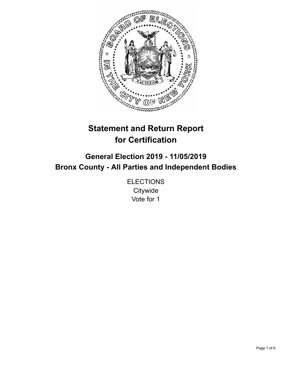

# **Statement and Return Report for Certification**

## **General Election 2019 - 11/05/2019 Bronx County - All Parties and Independent Bodies**

**ELECTIONS Citywide** Vote for 1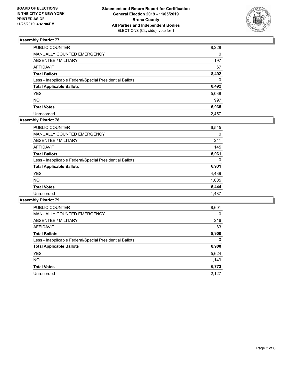

| PUBLIC COUNTER                                           | 8,228        |
|----------------------------------------------------------|--------------|
| <b>MANUALLY COUNTED EMERGENCY</b>                        | $\mathbf{0}$ |
| <b>ABSENTEE / MILITARY</b>                               | 197          |
| <b>AFFIDAVIT</b>                                         | 67           |
| <b>Total Ballots</b>                                     | 8,492        |
| Less - Inapplicable Federal/Special Presidential Ballots | $\Omega$     |
| <b>Total Applicable Ballots</b>                          | 8,492        |
| <b>YES</b>                                               | 5,038        |
| <b>NO</b>                                                | 997          |
| <b>Total Votes</b>                                       | 6,035        |
| Unrecorded                                               | 2.457        |

## **Assembly District 78**

| <b>PUBLIC COUNTER</b>                                    | 6,545    |
|----------------------------------------------------------|----------|
| <b>MANUALLY COUNTED EMERGENCY</b>                        | 0        |
| ABSENTEE / MILITARY                                      | 241      |
| AFFIDAVIT                                                | 145      |
| <b>Total Ballots</b>                                     | 6,931    |
| Less - Inapplicable Federal/Special Presidential Ballots | $\Omega$ |
| <b>Total Applicable Ballots</b>                          | 6,931    |
| <b>YES</b>                                               | 4,439    |
| NO.                                                      | 1,005    |
| <b>Total Votes</b>                                       | 5,444    |
| Unrecorded                                               | 1,487    |

| <b>PUBLIC COUNTER</b>                                    | 8,601    |
|----------------------------------------------------------|----------|
| <b>MANUALLY COUNTED EMERGENCY</b>                        | $\Omega$ |
| ABSENTEE / MILITARY                                      | 216      |
| <b>AFFIDAVIT</b>                                         | 83       |
| <b>Total Ballots</b>                                     | 8,900    |
| Less - Inapplicable Federal/Special Presidential Ballots | $\Omega$ |
| <b>Total Applicable Ballots</b>                          | 8,900    |
| <b>YES</b>                                               | 5,624    |
| NO.                                                      | 1,149    |
| <b>Total Votes</b>                                       | 6,773    |
| Unrecorded                                               | 2.127    |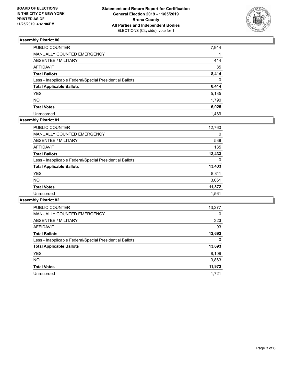

| PUBLIC COUNTER                                           | 7,914    |
|----------------------------------------------------------|----------|
| <b>MANUALLY COUNTED EMERGENCY</b>                        |          |
| <b>ABSENTEE / MILITARY</b>                               | 414      |
| <b>AFFIDAVIT</b>                                         | 85       |
| <b>Total Ballots</b>                                     | 8,414    |
| Less - Inapplicable Federal/Special Presidential Ballots | $\Omega$ |
| <b>Total Applicable Ballots</b>                          | 8,414    |
| <b>YES</b>                                               | 5,135    |
| <b>NO</b>                                                | 1,790    |
| <b>Total Votes</b>                                       | 6,925    |
| Unrecorded                                               | 1.489    |

## **Assembly District 81**

| <b>PUBLIC COUNTER</b>                                    | 12,760 |
|----------------------------------------------------------|--------|
| <b>MANUALLY COUNTED EMERGENCY</b>                        | 0      |
| ABSENTEE / MILITARY                                      | 538    |
| AFFIDAVIT                                                | 135    |
| <b>Total Ballots</b>                                     | 13,433 |
| Less - Inapplicable Federal/Special Presidential Ballots | 0      |
| <b>Total Applicable Ballots</b>                          | 13,433 |
| <b>YES</b>                                               | 8,811  |
| NO.                                                      | 3,061  |
| <b>Total Votes</b>                                       | 11,872 |
| Unrecorded                                               | 1.561  |

| <b>PUBLIC COUNTER</b>                                    | 13,277   |
|----------------------------------------------------------|----------|
| <b>MANUALLY COUNTED EMERGENCY</b>                        | $\Omega$ |
| ABSENTEE / MILITARY                                      | 323      |
| <b>AFFIDAVIT</b>                                         | 93       |
| <b>Total Ballots</b>                                     | 13,693   |
| Less - Inapplicable Federal/Special Presidential Ballots | 0        |
| <b>Total Applicable Ballots</b>                          | 13,693   |
| <b>YES</b>                                               | 8,109    |
| NO.                                                      | 3,863    |
| <b>Total Votes</b>                                       | 11,972   |
| Unrecorded                                               | 1.721    |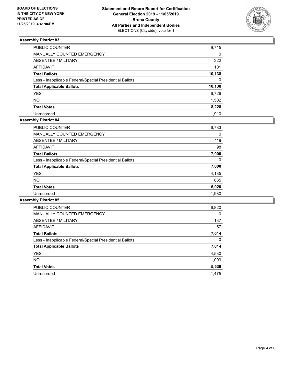

| PUBLIC COUNTER                                           | 9,715    |
|----------------------------------------------------------|----------|
| MANUALLY COUNTED EMERGENCY                               | 0        |
| ABSENTEE / MILITARY                                      | 322      |
| AFFIDAVIT                                                | 101      |
| Total Ballots                                            | 10,138   |
| Less - Inapplicable Federal/Special Presidential Ballots | $\Omega$ |
| <b>Total Applicable Ballots</b>                          | 10,138   |
| <b>YES</b>                                               | 6,726    |
| NO.                                                      | 1,502    |
| <b>Total Votes</b>                                       | 8,228    |
| Unrecorded                                               | 1.910    |

## **Assembly District 84**

| PUBLIC COUNTER                                           | 6,783 |
|----------------------------------------------------------|-------|
| <b>MANUALLY COUNTED EMERGENCY</b>                        | 0     |
| ABSENTEE / MILITARY                                      | 119   |
| <b>AFFIDAVIT</b>                                         | 98    |
| <b>Total Ballots</b>                                     | 7,000 |
| Less - Inapplicable Federal/Special Presidential Ballots | 0     |
| <b>Total Applicable Ballots</b>                          | 7,000 |
| <b>YES</b>                                               | 4,185 |
| NO.                                                      | 835   |
| <b>Total Votes</b>                                       | 5,020 |
| Unrecorded                                               | 1.980 |

| <b>PUBLIC COUNTER</b>                                    | 6,820    |
|----------------------------------------------------------|----------|
| <b>MANUALLY COUNTED EMERGENCY</b>                        | $\Omega$ |
| ABSENTEE / MILITARY                                      | 137      |
| <b>AFFIDAVIT</b>                                         | 57       |
| <b>Total Ballots</b>                                     | 7,014    |
| Less - Inapplicable Federal/Special Presidential Ballots | $\Omega$ |
| <b>Total Applicable Ballots</b>                          | 7,014    |
| <b>YES</b>                                               | 4,530    |
| NO.                                                      | 1,009    |
| <b>Total Votes</b>                                       | 5,539    |
| Unrecorded                                               | 1.475    |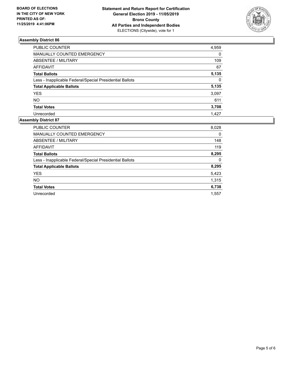

| PUBLIC COUNTER                                           | 4,959    |
|----------------------------------------------------------|----------|
| MANUALLY COUNTED EMERGENCY                               | $\Omega$ |
| <b>ABSENTEE / MILITARY</b>                               | 109      |
| <b>AFFIDAVIT</b>                                         | 67       |
| <b>Total Ballots</b>                                     | 5,135    |
| Less - Inapplicable Federal/Special Presidential Ballots | $\Omega$ |
| <b>Total Applicable Ballots</b>                          | 5,135    |
| <b>YES</b>                                               | 3,097    |
| <b>NO</b>                                                | 611      |
| <b>Total Votes</b>                                       | 3,708    |
| Unrecorded                                               | 1.427    |

| <b>PUBLIC COUNTER</b>                                    | 8,028 |
|----------------------------------------------------------|-------|
| <b>MANUALLY COUNTED EMERGENCY</b>                        | 0     |
| ABSENTEE / MILITARY                                      | 148   |
| <b>AFFIDAVIT</b>                                         | 119   |
| <b>Total Ballots</b>                                     | 8,295 |
| Less - Inapplicable Federal/Special Presidential Ballots | 0     |
| <b>Total Applicable Ballots</b>                          | 8,295 |
| <b>YES</b>                                               | 5,423 |
| <b>NO</b>                                                | 1,315 |
| <b>Total Votes</b>                                       | 6,738 |
| Unrecorded                                               | 1.557 |